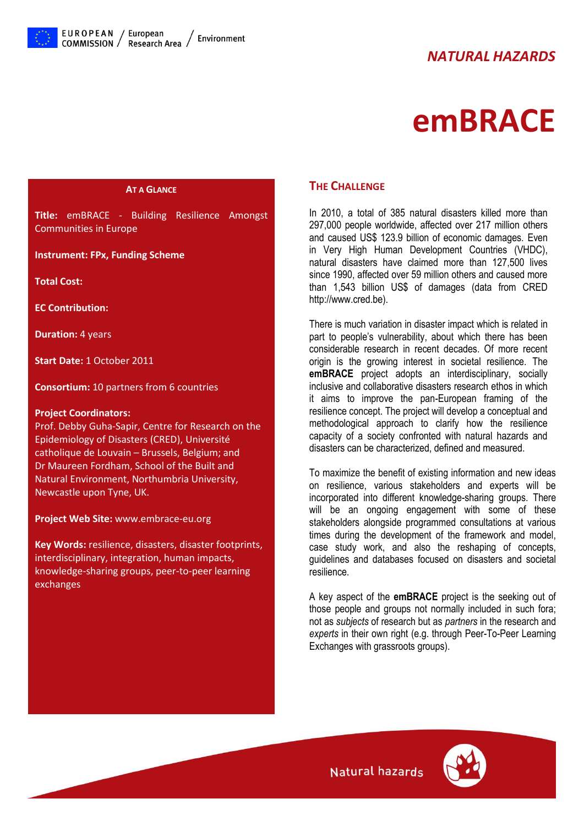# *NATURAL HAZARDS*



# **emBRACE**

#### **AT A GLANCE**

**Title:** emBRACE - Building Resilience Amongst Communities in Europe

#### **Instrument: FPx, Funding Scheme**

**Total Cost:**

**EC Contribution:**

**Duration:** 4 years

**Start Date:** 1 October 2011

**Consortium:** 10 partners from 6 countries

#### **Project Coordinators:**

Prof. Debby Guha-Sapir, Centre for Research on the Epidemiology of Disasters (CRED), Université catholique de Louvain – Brussels, Belgium; and Dr Maureen Fordham, School of the Built and Natural Environment, Northumbria University, Newcastle upon Tyne, UK.

**Project Web Site:** www.embrace-eu.org

**Key Words:** resilience, disasters, disaster footprints, interdisciplinary, integration, human impacts, knowledge-sharing groups, peer-to-peer learning exchanges

#### **THE CHALLENGE**

In 2010, a total of 385 natural disasters killed more than 297,000 people worldwide, affected over 217 million others and caused US\$ 123.9 billion of economic damages. Even in Very High Human Development Countries (VHDC), natural disasters have claimed more than 127,500 lives since 1990, affected over 59 million others and caused more than 1,543 billion US\$ of damages (data from CRED http://www.cred.be).

There is much variation in disaster impact which is related in part to people's vulnerability, about which there has been considerable research in recent decades. Of more recent origin is the growing interest in societal resilience. The **emBRACE** project adopts an interdisciplinary, socially inclusive and collaborative disasters research ethos in which it aims to improve the pan-European framing of the resilience concept. The project will develop a conceptual and methodological approach to clarify how the resilience capacity of a society confronted with natural hazards and disasters can be characterized, defined and measured.

To maximize the benefit of existing information and new ideas on resilience, various stakeholders and experts will be incorporated into different knowledge-sharing groups. There will be an ongoing engagement with some of these stakeholders alongside programmed consultations at various times during the development of the framework and model, case study work, and also the reshaping of concepts, guidelines and databases focused on disasters and societal resilience.

A key aspect of the **emBRACE** project is the seeking out of those people and groups not normally included in such fora; not as *subjects* of research but as *partners* in the research and *experts* in their own right (e.g. through Peer-To-Peer Learning Exchanges with grassroots groups).



Natural hazards